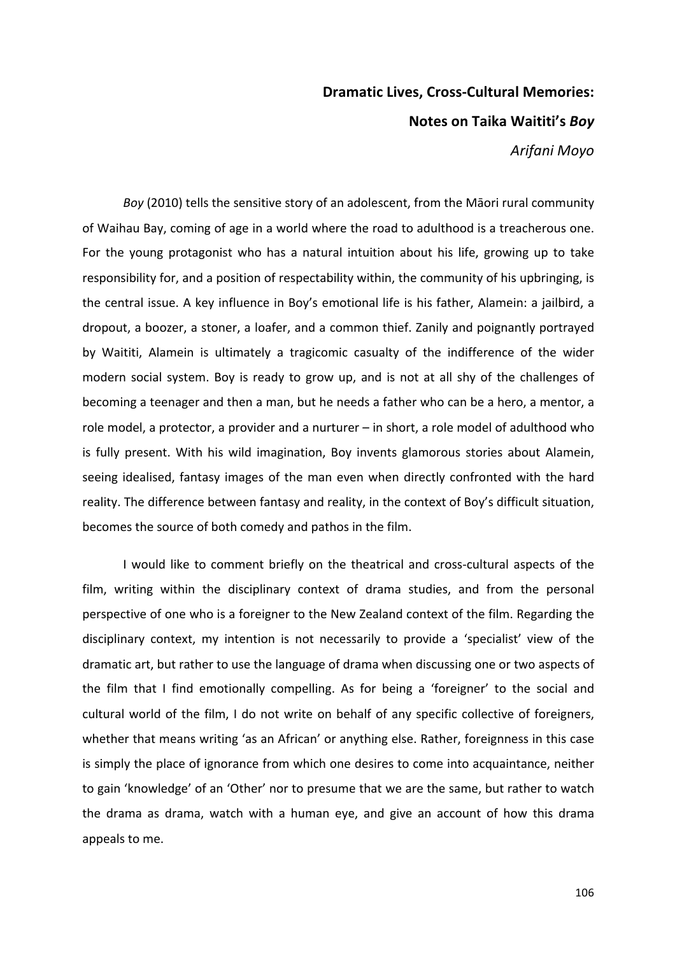## **Dramatic Lives, Cross-Cultural Memories: Notes on Taika Waititi's** *Boy*

*Arifani Moyo*

*Boy* (2010) tells the sensitive story of an adolescent, from the Māori rural community of Waihau Bay, coming of age in a world where the road to adulthood is a treacherous one. For the young protagonist who has a natural intuition about his life, growing up to take responsibility for, and a position of respectability within, the community of his upbringing, is the central issue. A key influence in Boy's emotional life is his father, Alamein: a jailbird, a dropout, a boozer, a stoner, a loafer, and a common thief. Zanily and poignantly portrayed by Waititi, Alamein is ultimately a tragicomic casualty of the indifference of the wider modern social system. Boy is ready to grow up, and is not at all shy of the challenges of becoming a teenager and then a man, but he needs a father who can be a hero, a mentor, a role model, a protector, a provider and a nurturer  $-$  in short, a role model of adulthood who is fully present. With his wild imagination, Boy invents glamorous stories about Alamein, seeing idealised, fantasy images of the man even when directly confronted with the hard reality. The difference between fantasy and reality, in the context of Boy's difficult situation, becomes the source of both comedy and pathos in the film.

I would like to comment briefly on the theatrical and cross-cultural aspects of the film, writing within the disciplinary context of drama studies, and from the personal perspective of one who is a foreigner to the New Zealand context of the film. Regarding the disciplinary context, my intention is not necessarily to provide a 'specialist' view of the dramatic art, but rather to use the language of drama when discussing one or two aspects of the film that I find emotionally compelling. As for being a 'foreigner' to the social and cultural world of the film, I do not write on behalf of any specific collective of foreigners, whether that means writing 'as an African' or anything else. Rather, foreignness in this case is simply the place of ignorance from which one desires to come into acquaintance, neither to gain 'knowledge' of an 'Other' nor to presume that we are the same, but rather to watch the drama as drama, watch with a human eye, and give an account of how this drama appeals to me.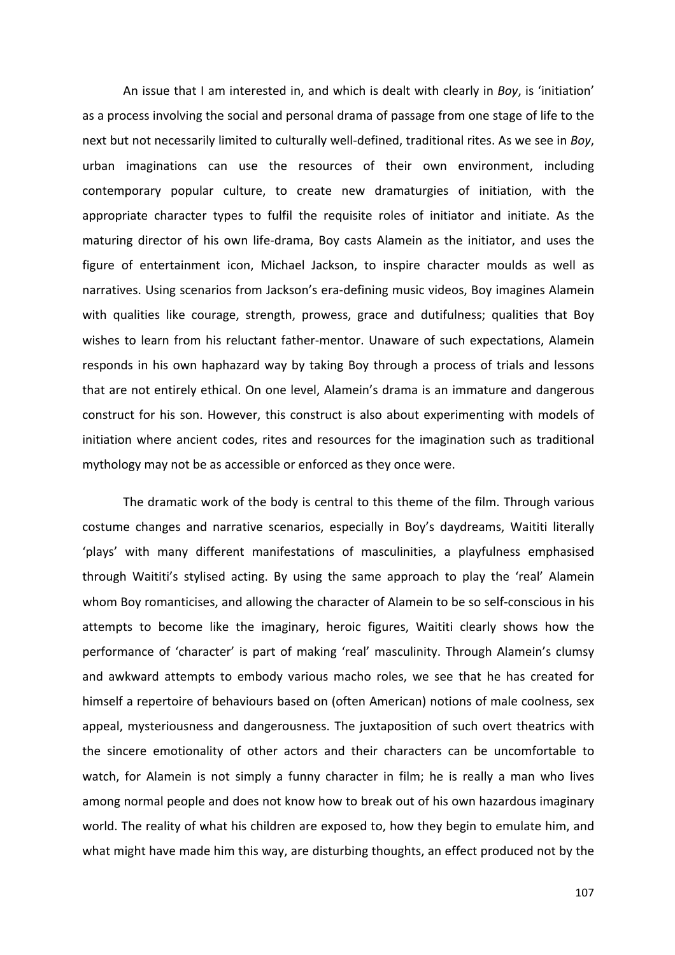An issue that I am interested in, and which is dealt with clearly in *Boy*, is 'initiation' as a process involving the social and personal drama of passage from one stage of life to the next but not necessarily limited to culturally well-defined, traditional rites. As we see in *Boy*, urban imaginations can use the resources of their own environment, including contemporary popular culture, to create new dramaturgies of initiation, with the appropriate character types to fulfil the requisite roles of initiator and initiate. As the maturing director of his own life-drama, Boy casts Alamein as the initiator, and uses the figure of entertainment icon, Michael Jackson, to inspire character moulds as well as narratives. Using scenarios from Jackson's era-defining music videos, Boy imagines Alamein with qualities like courage, strength, prowess, grace and dutifulness; qualities that Boy wishes to learn from his reluctant father-mentor. Unaware of such expectations, Alamein responds in his own haphazard way by taking Boy through a process of trials and lessons that are not entirely ethical. On one level, Alamein's drama is an immature and dangerous construct for his son. However, this construct is also about experimenting with models of initiation where ancient codes, rites and resources for the imagination such as traditional mythology may not be as accessible or enforced as they once were.

The dramatic work of the body is central to this theme of the film. Through various costume changes and narrative scenarios, especially in Boy's daydreams, Waititi literally 'plays' with many different manifestations of masculinities, a playfulness emphasised through Waititi's stylised acting. By using the same approach to play the 'real' Alamein whom Boy romanticises, and allowing the character of Alamein to be so self-conscious in his attempts to become like the imaginary, heroic figures, Waititi clearly shows how the performance of 'character' is part of making 'real' masculinity. Through Alamein's clumsy and awkward attempts to embody various macho roles, we see that he has created for himself a repertoire of behaviours based on (often American) notions of male coolness, sex appeal, mysteriousness and dangerousness. The juxtaposition of such overt theatrics with the sincere emotionality of other actors and their characters can be uncomfortable to watch, for Alamein is not simply a funny character in film; he is really a man who lives among normal people and does not know how to break out of his own hazardous imaginary world. The reality of what his children are exposed to, how they begin to emulate him, and what might have made him this way, are disturbing thoughts, an effect produced not by the